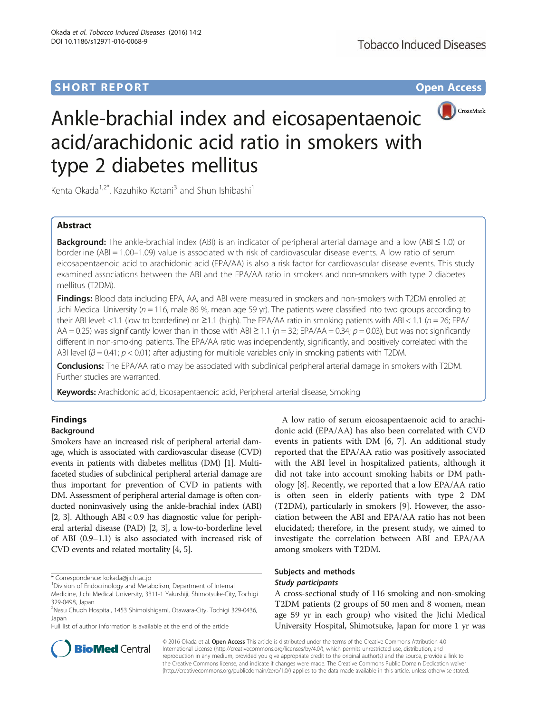# **SHORT REPORT SHORT CONSUMING THE CONSUMING THE CONSUMING THE CONSUMING THE CONSUMING THE CONSUMING THE CONSUMING THE CONSUMING THE CONSUMING THE CONSUMING THE CONSUMING THE CONSUMING THE CONSUMING THE CONSUMING THE CONS**



# Ankle-brachial index and eicosapentaenoic acid/arachidonic acid ratio in smokers with type 2 diabetes mellitus

Kenta Okada<sup>1,2\*</sup>, Kazuhiko Kotani<sup>3</sup> and Shun Ishibashi<sup>1</sup>

# Abstract

**Background:** The ankle-brachial index (ABI) is an indicator of peripheral arterial damage and a low (ABI  $\leq$  1.0) or borderline (ABI = 1.00–1.09) value is associated with risk of cardiovascular disease events. A low ratio of serum eicosapentaenoic acid to arachidonic acid (EPA/AA) is also a risk factor for cardiovascular disease events. This study examined associations between the ABI and the EPA/AA ratio in smokers and non-smokers with type 2 diabetes mellitus (T2DM).

Findings: Blood data including EPA, AA, and ABI were measured in smokers and non-smokers with T2DM enrolled at Jichi Medical University ( $n = 116$ , male 86 %, mean age 59 yr). The patients were classified into two groups according to their ABI level: <1.1 (low to borderline) or  $\geq$ 1.1 (high). The EPA/AA ratio in smoking patients with ABI < 1.1 ( $n = 26$ ; EPA/ AA = 0.25) was significantly lower than in those with ABI  $\geq$  1.1 ( $n = 32$ ; EPA/AA = 0.34;  $p = 0.03$ ), but was not significantly different in non-smoking patients. The EPA/AA ratio was independently, significantly, and positively correlated with the ABI level ( $\beta$  = 0.41;  $p$  < 0.01) after adjusting for multiple variables only in smoking patients with T2DM.

Conclusions: The EPA/AA ratio may be associated with subclinical peripheral arterial damage in smokers with T2DM. Further studies are warranted.

Keywords: Arachidonic acid, Eicosapentaenoic acid, Peripheral arterial disease, Smoking

# Findings

## Background

Smokers have an increased risk of peripheral arterial damage, which is associated with cardiovascular disease (CVD) events in patients with diabetes mellitus (DM) [[1](#page-3-0)]. Multifaceted studies of subclinical peripheral arterial damage are thus important for prevention of CVD in patients with DM. Assessment of peripheral arterial damage is often conducted noninvasively using the ankle-brachial index (ABI) [[2](#page-3-0), [3\]](#page-3-0). Although ABI < 0.9 has diagnostic value for peripheral arterial disease (PAD) [\[2, 3](#page-3-0)], a low-to-borderline level of ABI (0.9–1.1) is also associated with increased risk of CVD events and related mortality [\[4, 5](#page-3-0)].

\* Correspondence: [kokada@jichi.ac.jp](mailto:kokada@jichi.ac.jp) <sup>1</sup>

Full list of author information is available at the end of the article



## Subjects and methods Study participants

A cross-sectional study of 116 smoking and non-smoking T2DM patients (2 groups of 50 men and 8 women, mean age 59 yr in each group) who visited the Jichi Medical University Hospital, Shimotsuke, Japan for more 1 yr was



© 2016 Okada et al. Open Access This article is distributed under the terms of the Creative Commons Attribution 4.0 International License [\(http://creativecommons.org/licenses/by/4.0/](http://creativecommons.org/licenses/by/4.0/)), which permits unrestricted use, distribution, and reproduction in any medium, provided you give appropriate credit to the original author(s) and the source, provide a link to the Creative Commons license, and indicate if changes were made. The Creative Commons Public Domain Dedication waiver [\(http://creativecommons.org/publicdomain/zero/1.0/](http://creativecommons.org/publicdomain/zero/1.0/)) applies to the data made available in this article, unless otherwise stated.

<sup>&</sup>lt;sup>1</sup> Division of Endocrinology and Metabolism, Department of Internal

Medicine, Jichi Medical University, 3311-1 Yakushiji, Shimotsuke-City, Tochigi 329-0498, Japan

<sup>&</sup>lt;sup>2</sup>Nasu Chuoh Hospital, 1453 Shimoishigami, Otawara-City, Tochigi 329-0436, Japan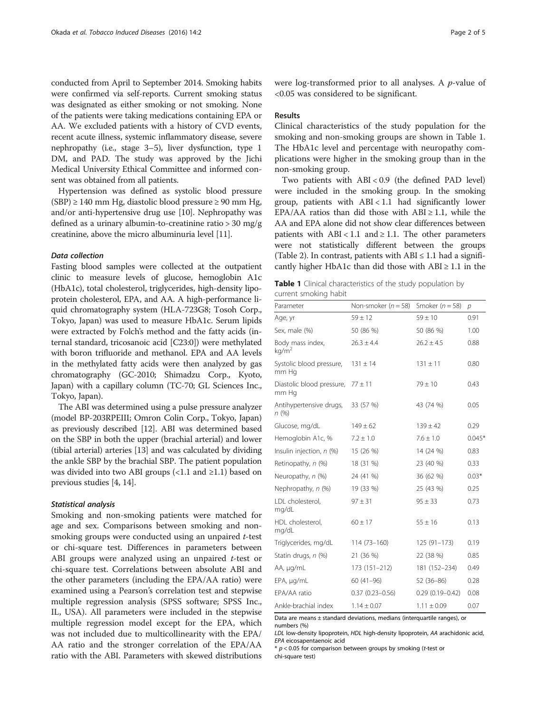conducted from April to September 2014. Smoking habits were confirmed via self-reports. Current smoking status was designated as either smoking or not smoking. None of the patients were taking medications containing EPA or AA. We excluded patients with a history of CVD events, recent acute illness, systemic inflammatory disease, severe nephropathy (i.e., stage 3–5), liver dysfunction, type 1 DM, and PAD. The study was approved by the Jichi Medical University Ethical Committee and informed consent was obtained from all patients.

Hypertension was defined as systolic blood pressure  $(SBP) \ge 140$  mm Hg, diastolic blood pressure  $\ge 90$  mm Hg, and/or anti-hypertensive drug use [\[10\]](#page--1-0). Nephropathy was defined as a urinary albumin-to-creatinine ratio > 30 mg/g creatinine, above the micro albuminuria level [[11\]](#page--1-0).

## Data collection

Fasting blood samples were collected at the outpatient clinic to measure levels of glucose, hemoglobin A1c (HbA1c), total cholesterol, triglycerides, high-density lipoprotein cholesterol, EPA, and AA. A high-performance liquid chromatography system (HLA-723G8; Tosoh Corp., Tokyo, Japan) was used to measure HbA1c. Serum lipids were extracted by Folch's method and the fatty acids (internal standard, tricosanoic acid [C23:0]) were methylated with boron trifluoride and methanol. EPA and AA levels in the methylated fatty acids were then analyzed by gas chromatography (GC-2010; Shimadzu Corp., Kyoto, Japan) with a capillary column (TC-70; GL Sciences Inc., Tokyo, Japan).

The ABI was determined using a pulse pressure analyzer (model BP-203RPEIII; Omron Colin Corp., Tokyo, Japan) as previously described [\[12](#page--1-0)]. ABI was determined based on the SBP in both the upper (brachial arterial) and lower (tibial arterial) arteries [\[13\]](#page--1-0) and was calculated by dividing the ankle SBP by the brachial SBP. The patient population was divided into two ABI groups  $\left($  < 1.1 and  $\geq$  1.1) based on previous studies [[4](#page-3-0), [14\]](#page--1-0).

## Statistical analysis

Smoking and non-smoking patients were matched for age and sex. Comparisons between smoking and nonsmoking groups were conducted using an unpaired t-test or chi-square test. Differences in parameters between ABI groups were analyzed using an unpaired  $t$ -test or chi-square test. Correlations between absolute ABI and the other parameters (including the EPA/AA ratio) were examined using a Pearson's correlation test and stepwise multiple regression analysis (SPSS software; SPSS Inc., IL, USA). All parameters were included in the stepwise multiple regression model except for the EPA, which was not included due to multicollinearity with the EPA/ AA ratio and the stronger correlation of the EPA/AA ratio with the ABI. Parameters with skewed distributions were log-transformed prior to all analyses. A p-value of <0.05 was considered to be significant.

## Results

Clinical characteristics of the study population for the smoking and non-smoking groups are shown in Table 1. The HbA1c level and percentage with neuropathy complications were higher in the smoking group than in the non-smoking group.

Two patients with ABI < 0.9 (the defined PAD level) were included in the smoking group. In the smoking group, patients with ABI < 1.1 had significantly lower EPA/AA ratios than did those with  $ABI \geq 1.1$ , while the AA and EPA alone did not show clear differences between patients with  $ABI < 1.1$  and  $\ge 1.1$ . The other parameters were not statistically different between the groups (Table [2](#page-2-0)). In contrast, patients with  $ABI \leq 1.1$  had a significantly higher HbA1c than did those with  $ABI \geq 1.1$  in the

| Table 1 Clinical characteristics of the study population by |  |  |  |
|-------------------------------------------------------------|--|--|--|
| current smoking habit                                       |  |  |  |

| Parameter                                      | Non-smoker ( $n = 58$ ) | Smoker ( $n = 58$ ) | р        |
|------------------------------------------------|-------------------------|---------------------|----------|
| Age, yr                                        | $59 \pm 12$             | $59 \pm 10$         | 0.91     |
| Sex, male (%)                                  | 50 (86 %)               | 50 (86 %)           | 1.00     |
| Body mass index,<br>kg/m <sup>2</sup>          | $26.3 \pm 4.4$          | $26.2 \pm 4.5$      | 0.88     |
| Systolic blood pressure, $131 \pm 14$<br>mm Hq |                         | $131 \pm 11$        | 0.80     |
| Diastolic blood pressure, $77 \pm 11$<br>mm Hg |                         | $79 \pm 10$         | 0.43     |
| Antihypertensive drugs,<br>n (%)               | 33 (57 %)               | 43 (74 %)           | 0.05     |
| Glucose, mg/dL                                 | $149 \pm 62$            | $139 \pm 42$        | 0.29     |
| Hemoglobin A1c, %                              | $7.2 \pm 1.0$           | $7.6 \pm 1.0$       | $0.045*$ |
| Insulin injection, n (%)                       | 15 (26 %)               | 14 (24 %)           | 0.83     |
| Retinopathy, n (%)                             | 18 (31 %)               | 23 (40 %)           | 0.33     |
| Neuropathy, n (%)                              | 24 (41 %)               | 36 (62 %)           | $0.03*$  |
| Nephropathy, n (%)                             | 19 (33 %)               | 25 (43 %)           | 0.25     |
| LDL cholesterol,<br>mg/dL                      | $97 + 31$               | $95 \pm 33$         | 0.73     |
| HDL cholesterol,<br>mg/dL                      | $60 \pm 17$             | $55 \pm 16$         | 0.13     |
| Triglycerides, mg/dL                           | $114(73 - 160)$         | $125(91-173)$       | 0.19     |
| Statin drugs, n (%)                            | 21 (36 %)               | 22 (38 %)           | 0.85     |
| AA, µg/mL                                      | 173 (151-212)           | 181 (152-234)       | 0.49     |
| EPA, µg/mL                                     | $60(41-96)$             | 52 (36-86)          | 0.28     |
| FPA/AA ratio                                   | $0.37(0.23 - 0.56)$     | $0.29(0.19 - 0.42)$ | 0.08     |
| Ankle-brachial index                           | $1.14 \pm 0.07$         | $1.11 \pm 0.09$     | 0.07     |

Data are means ± standard deviations, medians (interquartile ranges), or numbers (%)

LDL low-density lipoprotein, HDL high-density lipoprotein, AA arachidonic acid, EPA eicosapentaenoic acid

 $* p < 0.05$  for comparison between groups by smoking (t-test or chi-square test)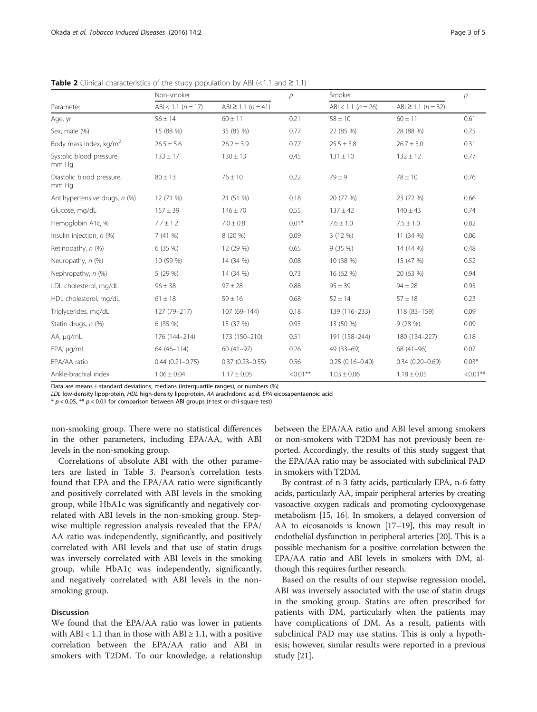|                                    | Non-smoker               |                         | $\mathcal{P}$ | Smoker                   |                            |             |
|------------------------------------|--------------------------|-------------------------|---------------|--------------------------|----------------------------|-------------|
| Parameter                          | $ABI < 1.1$ ( $n = 17$ ) | ABI $\geq$ 1.1 (n = 41) |               | $ABI < 1.1$ ( $n = 26$ ) | $ABI \ge 1.1$ ( $n = 32$ ) |             |
| Age, yr                            | $56 \pm 14$              | $60 \pm 11$             | 0.21          | $58 \pm 10$              | $60 \pm 11$                | 0.61        |
| Sex, male (%)                      | 15 (88 %)                | 35 (85 %)               | 0.77          | 22 (85 %)                | 28 (88 %)                  | 0.75        |
| Body mass index, kg/m <sup>2</sup> | $26.5 \pm 5.6$           | $26.2 \pm 3.9$          | 0.77          | $25.5 \pm 3.8$           | $26.7 \pm 5.0$             | 0.31        |
| Systolic blood pressure,<br>mm Hq  | $133 \pm 17$             | $130 \pm 13$            | 0.45          | $131 \pm 10$             | $132 \pm 12$               | 0.77        |
| Diastolic blood pressure,<br>mm Ha | $80 \pm 13$              | $76 \pm 10$             | 0.22          | $79 \pm 9$               | $78 \pm 10$                | 0.76        |
| Antihypertensive drugs, n (%)      | 12 (71 %)                | 21 (51 %)               | 0.18          | 20 (77 %)                | 23 (72 %)                  | 0.66        |
| Glucose, mg/dL                     | $157 \pm 39$             | $146 \pm 70$            | 0.55          | $137 \pm 42$             | $140 \pm 43$               | 0.74        |
| Hemoglobin A1c, %                  | $7.7 \pm 1.2$            | $7.0 \pm 0.8$           | $0.01*$       | $7.6 \pm 1.0$            | $7.5 \pm 1.0$              | 0.82        |
| Insulin injection, $n$ (%)         | 7(41%                    | 8 (20 %)                | 0.09          | 3(12%)                   | 11(34%)                    | 0.06        |
| Retinopathy, n (%)                 | 6(35%)                   | 12 (29 %)               | 0.65          | 9(35%)                   | 14 (44 %)                  | 0.48        |
| Neuropathy, n (%)                  | 10 (59 %)                | 14 (34 %)               | 0.08          | 10 (38 %)                | 15 (47 %)                  | 0.52        |
| Nephropathy, n (%)                 | 5 (29 %)                 | 14 (34 %)               | 0.73          | 16 (62 %)                | 20 (63 %)                  | 0.94        |
| LDL cholesterol, mg/dL             | $96 \pm 38$              | $97 \pm 28$             | 0.88          | $95 \pm 39$              | $94 \pm 28$                | 0.95        |
| HDL cholesterol, mg/dL             | $61 \pm 18$              | $59 \pm 16$             | 0.68          | $52 \pm 14$              | $57 \pm 18$                | 0.23        |
| Triglycerides, mg/dL               | 127 (79-217)             | 107 (69-144)            | 0.18          | 139 (116-233)            | 118 (83-159)               | 0.09        |
| Statin drugs, n (%)                | 6(35%)                   | 15 (37 %)               | 0.93          | 13 (50 %)                | 9(28%)                     | 0.09        |
| AA, µg/mL                          | 176 (144-214)            | 173 (150-210)           | 0.51          | 191 (158-244)            | 180 (134-227)              | 0.18        |
| EPA, µg/mL                         | 64 (46-114)              | $60(41-97)$             | 0.26          | 49 (33-69)               | 68 (41-96)                 | 0.07        |
| EPA/AA ratio                       | $0.44(0.21 - 0.75)$      | $0.37(0.23 - 0.55)$     | 0.56          | $0.25(0.16 - 0.40)$      | $0.34(0.20 - 0.69)$        | $0.03*$     |
| Ankle-brachial index               | $1.06 \pm 0.04$          | $1.17 \pm 0.05$         | $< 0.01$ **   | $1.03 \pm 0.06$          | $1.18 \pm 0.05$            | $< 0.01$ ** |

<span id="page-2-0"></span>Table 2 Clinical characteristics of the study population by ABI (<1.1 and  $\geq$  1.1)

Data are means ± standard deviations, medians (interquartile ranges), or numbers (%)

LDL low-density lipoprotein, HDL high-density lipoprotein, AA arachidonic acid, EPA eicosapentaenoic acid

 $* p < 0.05$ ,  $** p < 0.01$  for comparison between ABI groups (t-test or chi-square test)

non-smoking group. There were no statistical differences in the other parameters, including EPA/AA, with ABI levels in the non-smoking group.

Correlations of absolute ABI with the other parameters are listed in Table [3](#page-3-0). Pearson's correlation tests found that EPA and the EPA/AA ratio were significantly and positively correlated with ABI levels in the smoking group, while HbA1c was significantly and negatively correlated with ABI levels in the non-smoking group. Stepwise multiple regression analysis revealed that the EPA/ AA ratio was independently, significantly, and positively correlated with ABI levels and that use of statin drugs was inversely correlated with ABI levels in the smoking group, while HbA1c was independently, significantly, and negatively correlated with ABI levels in the nonsmoking group.

## Discussion

We found that the EPA/AA ratio was lower in patients with ABI < 1.1 than in those with ABI  $\geq$  1.1, with a positive correlation between the EPA/AA ratio and ABI in smokers with T2DM. To our knowledge, a relationship between the EPA/AA ratio and ABI level among smokers or non-smokers with T2DM has not previously been reported. Accordingly, the results of this study suggest that the EPA/AA ratio may be associated with subclinical PAD in smokers with T2DM.

By contrast of n-3 fatty acids, particularly EPA, n-6 fatty acids, particularly AA, impair peripheral arteries by creating vasoactive oxygen radicals and promoting cyclooxygenase metabolism [\[15, 16](#page--1-0)]. In smokers, a delayed conversion of AA to eicosanoids is known [\[17](#page--1-0)–[19\]](#page--1-0), this may result in endothelial dysfunction in peripheral arteries [\[20\]](#page--1-0). This is a possible mechanism for a positive correlation between the EPA/AA ratio and ABI levels in smokers with DM, although this requires further research.

Based on the results of our stepwise regression model, ABI was inversely associated with the use of statin drugs in the smoking group. Statins are often prescribed for patients with DM, particularly when the patients may have complications of DM. As a result, patients with subclinical PAD may use statins. This is only a hypothesis; however, similar results were reported in a previous study [[21\]](#page--1-0).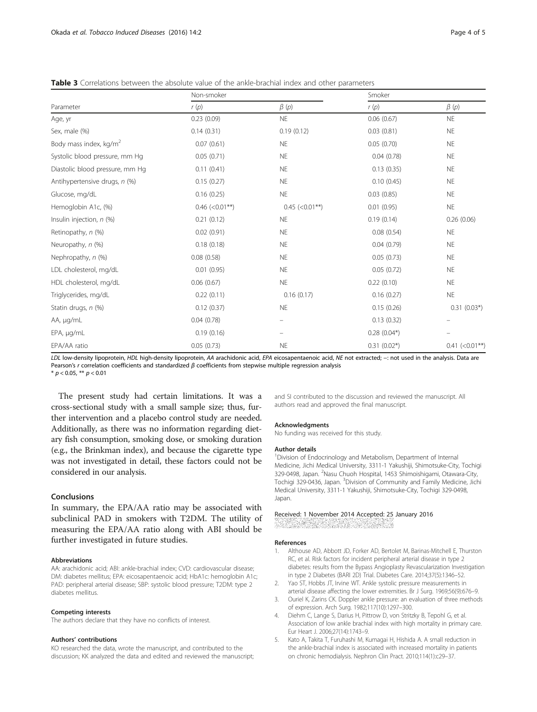<span id="page-3-0"></span>Table 3 Correlations between the absolute value of the ankle-brachial index and other parameters

|                                    | Non-smoker           |                      | Smoker        |                      |  |
|------------------------------------|----------------------|----------------------|---------------|----------------------|--|
| Parameter                          | r(p)                 | $\beta(p)$           | r(p)          | $\beta(p)$           |  |
| Age, yr                            | 0.23(0.09)           | <b>NE</b>            | 0.06(0.67)    | <b>NE</b>            |  |
| Sex, male (%)                      | 0.14(0.31)           | 0.19(0.12)           | 0.03(0.81)    | <b>NE</b>            |  |
| Body mass index, kg/m <sup>2</sup> | 0.07(0.61)           | <b>NE</b>            | 0.05(0.70)    | <b>NE</b>            |  |
| Systolic blood pressure, mm Hq     | 0.05(0.71)           | <b>NE</b>            | 0.04(0.78)    | <b>NE</b>            |  |
| Diastolic blood pressure, mm Hg    | 0.11(0.41)           | <b>NE</b>            | 0.13(0.35)    | <b>NE</b>            |  |
| Antihypertensive drugs, n (%)      | 0.15(0.27)           | <b>NE</b>            | 0.10(0.45)    | <b>NE</b>            |  |
| Glucose, mg/dL                     | 0.16(0.25)           | <b>NE</b>            | 0.03(0.85)    | <b>NE</b>            |  |
| Hemoglobin A1c, (%)                | $0.46$ (< $0.01$ **) | $0.45$ (< $0.01$ **) | 0.01(0.95)    | <b>NE</b>            |  |
| Insulin injection, n (%)           | 0.21(0.12)           | <b>NE</b>            | 0.19(0.14)    | 0.26(0.06)           |  |
| Retinopathy, n (%)                 | 0.02(0.91)           | <b>NE</b>            | 0.08(0.54)    | <b>NE</b>            |  |
| Neuropathy, n (%)                  | 0.18(0.18)           | <b>NE</b>            | 0.04(0.79)    | <b>NE</b>            |  |
| Nephropathy, n (%)                 | 0.08(0.58)           | <b>NE</b>            | 0.05(0.73)    | <b>NE</b>            |  |
| LDL cholesterol, mg/dL             | 0.01(0.95)           | <b>NE</b>            | 0.05(0.72)    | <b>NE</b>            |  |
| HDL cholesterol, mg/dL             | 0.06(0.67)           | <b>NE</b>            | 0.22(0.10)    | <b>NE</b>            |  |
| Triglycerides, mg/dL               | 0.22(0.11)           | 0.16(0.17)           | 0.16(0.27)    | $\mathsf{NE}\xspace$ |  |
| Statin drugs, n (%)                | 0.12(0.37)           | <b>NE</b>            | 0.15(0.26)    | $0.31(0.03*)$        |  |
| AA, µg/mL                          | 0.04(0.78)           |                      | 0.13(0.32)    |                      |  |
| EPA, µg/mL                         | 0.19(0.16)           |                      | $0.28(0.04*)$ |                      |  |
| EPA/AA ratio                       | 0.05(0.73)           | <b>NE</b>            | $0.31(0.02*)$ | $0.41$ (<0.01**)     |  |

LDL low-density lipoprotein, HDL high-density lipoprotein, AA arachidonic acid, EPA eicosapentaenoic acid, NE not extracted; -: not used in the analysis. Data are Pearson's r correlation coefficients and standardized  $\beta$  coefficients from stepwise multiple regression analysis

\*  $p < 0.05$ , \*\*  $p < 0.01$ 

The present study had certain limitations. It was a cross-sectional study with a small sample size; thus, further intervention and a placebo control study are needed. Additionally, as there was no information regarding dietary fish consumption, smoking dose, or smoking duration (e.g., the Brinkman index), and because the cigarette type was not investigated in detail, these factors could not be considered in our analysis.

## Conclusions

In summary, the EPA/AA ratio may be associated with subclinical PAD in smokers with T2DM. The utility of measuring the EPA/AA ratio along with ABI should be further investigated in future studies.

## Abbreviations

AA: arachidonic acid; ABI: ankle-brachial index; CVD: cardiovascular disease; DM: diabetes mellitus; EPA: eicosapentaenoic acid; HbA1c: hemoglobin A1c; PAD: peripheral arterial disease; SBP: systolic blood pressure; T2DM: type 2 diabetes mellitus.

## Competing interests

The authors declare that they have no conflicts of interest.

#### Authors' contributions

KO researched the data, wrote the manuscript, and contributed to the discussion; KK analyzed the data and edited and reviewed the manuscript; and SI contributed to the discussion and reviewed the manuscript. All authors read and approved the final manuscript.

#### Acknowledgments

No funding was received for this study.

#### Author details

<sup>1</sup> Division of Endocrinology and Metabolism, Department of Internal Medicine, Jichi Medical University, 3311-1 Yakushiji, Shimotsuke-City, Tochigi 329-0498, Japan. <sup>2</sup>Nasu Chuoh Hospital, 1453 Shimoishigami, Otawara-City Tochigi 329-0436, Japan. <sup>3</sup>Division of Community and Family Medicine, Jichi Medical University, 3311-1 Yakushiji, Shimotsuke-City, Tochigi 329-0498, Japan.

# Received: 1 November 2014 Accepted: 25 January 2016

#### References

- 1. Althouse AD, Abbott JD, Forker AD, Bertolet M, Barinas-Mitchell E, Thurston RC, et al. Risk factors for incident peripheral arterial disease in type 2 diabetes: results from the Bypass Angioplasty Revascularization Investigation in type 2 Diabetes (BARI 2D) Trial. Diabetes Care. 2014;37(5):1346–52.
- Yao ST, Hobbs JT, Irvine WT. Ankle systolic pressure measurements in arterial disease affecting the lower extremities. Br J Surg. 1969;56(9):676–9.
- 3. Ouriel K, Zarins CK. Doppler ankle pressure: an evaluation of three methods of expression. Arch Surg. 1982;117(10):1297–300.
- 4. Diehm C, Lange S, Darius H, Pittrow D, von Stritzky B, Tepohl G, et al. Association of low ankle brachial index with high mortality in primary care. Eur Heart J. 2006;27(14):1743–9.
- 5. Kato A, Takita T, Furuhashi M, Kumagai H, Hishida A. A small reduction in the ankle-brachial index is associated with increased mortality in patients on chronic hemodialysis. Nephron Clin Pract. 2010;114(1):c29–37.